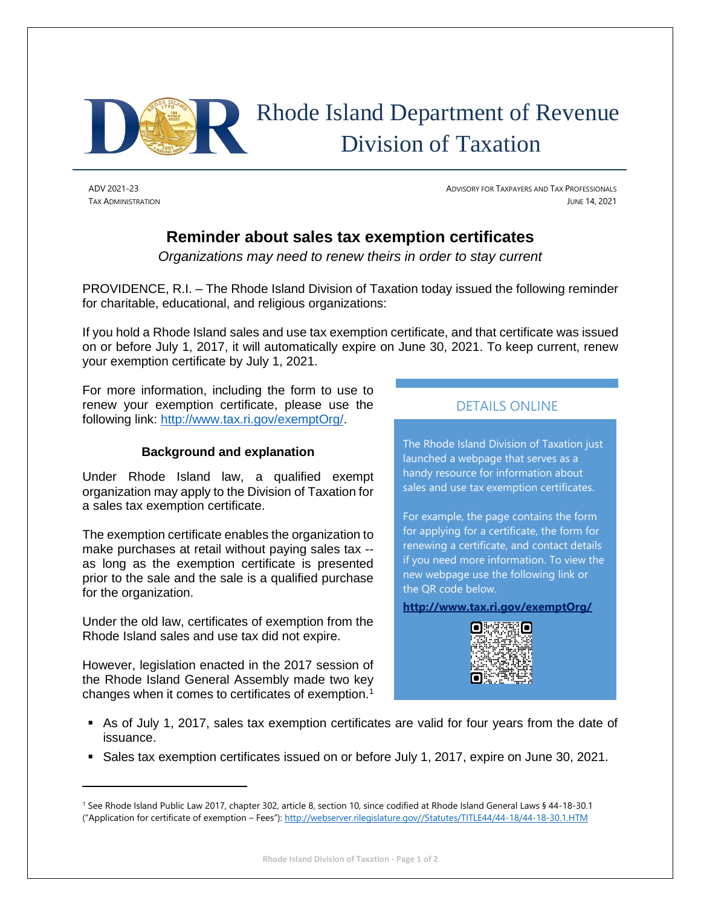

ADV 2021-23 ADVISORY FOR TAXPAYERS AND TAX PROFESSIONALS TAX ADMINISTRATION JUNE 14, 2021

## **Reminder about sales tax exemption certificates**

*Organizations may need to renew theirs in order to stay current*

PROVIDENCE, R.I. – The Rhode Island Division of Taxation today issued the following reminder for charitable, educational, and religious organizations:

If you hold a Rhode Island sales and use tax exemption certificate, and that certificate was issued on or before July 1, 2017, it will automatically expire on June 30, 2021. To keep current, renew your exemption certificate by July 1, 2021.

For more information, including the form to use to renew your exemption certificate, please use the following link: [http://www.tax.ri.gov/exemptOrg/.](http://www.tax.ri.gov/exemptOrg/)

## **Background and explanation**

Under Rhode Island law, a qualified exempt organization may apply to the Division of Taxation for a sales tax exemption certificate.

The exemption certificate enables the organization to make purchases at retail without paying sales tax - as long as the exemption certificate is presented prior to the sale and the sale is a qualified purchase for the organization.

Under the old law, certificates of exemption from the Rhode Island sales and use tax did not expire.

However, legislation enacted in the 2017 session of the Rhode Island General Assembly made two key changes when it comes to certificates of exemption.<sup>1</sup>

## DETAILS ONLINE

The Rhode Island Division of Taxation just launched a webpage that serves as a handy resource for information about sales and use tax exemption certificates.

For example, the page contains the form for applying for a certificate, the form for renewing a certificate, and contact details if you need more information. To view the new webpage use the following link or the QR code below.

**<http://www.tax.ri.gov/exemptOrg/>**



- As of July 1, 2017, sales tax exemption certificates are valid for four years from the date of issuance.
- Sales tax exemption certificates issued on or before July 1, 2017, expire on June 30, 2021.

<sup>1</sup> See Rhode Island Public Law 2017, chapter 302, article 8, section 10, since codified at Rhode Island General Laws § 44-18-30.1 ("Application for certificate of exemption – Fees"): [http://webserver.rilegislature.gov//Statutes/TITLE44/44-18/44-18-30.1.HTM](http://webserver.rilegislature.gov/Statutes/TITLE44/44-18/44-18-30.1.HTM)